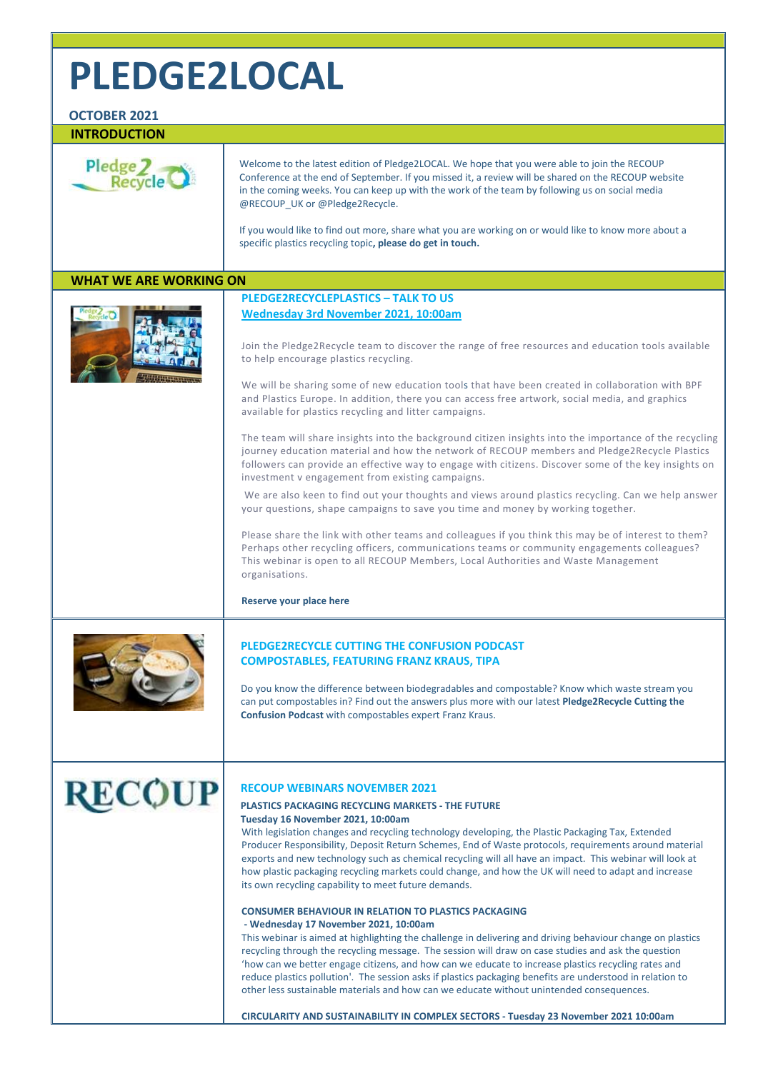# **PLEDGE2LOCAL**

## **OCTOBER 2021**

Welcome to the latest edition of Pledge2LOCAL. We hope that you were able to join the RECOUP Conference at the end of September. If you missed it, a review will be shared on the RECOUP website in the coming weeks. You can keep up with the work of the team by following us on social media @RECOUP\_UK or @Pledge2Recycle.

## **INTRODUCTION**



If you would like to find out more, share what you are working on or would like to know more about a specific plastics recycling topic**[, please do get in touch.](mailto:enquiry@recoup.org?subject=PLEDGE2LOCAL%20ENQUIRY)**

## **WHAT WE ARE WORKING ON**



## **PLEDGE2RECYCLEPLASTICS – TALK TO US [Wednesday 3rd November 2021, 10:00am](https://www.eventbrite.co.uk/e/pledge2recycle-plastics-talk-to-us-tickets-185664987977)**

Join the Pledge2Recycle team to discover the range of free resources and education tools available to help encourage plastics recycling.

We will be sharing some of new education tools that have been created in collaboration with BPF and Plastics Europe. In addition, there you can access free artwork, social media, and graphics available for plastics recycling and litter campaigns.

The team will share insights into the background citizen insights into the importance of the recycling journey education material and how the network of RECOUP members and Pledge2Recycle Plastics followers can provide an effective way to engage with citizens. Discover some of the key insights on investment v engagement from existing campaigns.

We are also keen to find out your thoughts and views around plastics recycling. Can we help answer your questions, shape campaigns to save you time and money by working together.

Please share the link with other teams and colleagues if you think this may be of interest to them? Perhaps other recycling officers, communications teams or community engagements colleagues? This webinar is open to all RECOUP Members, Local Authorities and Waste Management organisations.

#### **[Reserve your place here](https://www.eventbrite.co.uk/e/pledge2recycle-plastics-talk-to-us-tickets-185664987977)**



## **PLEDGE2RECYCLE CUTTING THE CONFUSION PODCAST COMPOSTABLES, FEATURING FRANZ KRAUS, TIPA**

Do you know the difference between biodegradables and compostable? Know which waste stream you can put compostables in? Find out the answers plus more with our latest **[Pledge2Recycle Cutting the](https://rss.com/podcasts/pledge2recycle/)  [Confusion Podcast](https://rss.com/podcasts/pledge2recycle/)** with compostables expert Franz Kraus.



**RECOUP WEBINARS NOVEMBER 2021 [PLASTICS PACKAGING RECYCLING MARKETS -](https://recoup.us1.list-manage.com/track/click?u=a00c5086d7bede70088308eee&id=4c352b93a5&e=b18c42ac1f) THE FUTURE**

## **[Tuesday 16 November 2021, 10:00am](https://recoup.us1.list-manage.com/track/click?u=a00c5086d7bede70088308eee&id=4c352b93a5&e=b18c42ac1f)**

With legislation changes and recycling technology developing, the Plastic Packaging Tax, Extended Producer Responsibility, Deposit Return Schemes, End of Waste protocols, requirements around material exports and new technology such as chemical recycling will all have an impact. This webinar will look at how plastic packaging recycling markets could change, and how the UK will need to adapt and increase its own recycling capability to meet future demands.

#### **[CONSUMER BEHAVIOUR IN RELATION TO PLASTICS PACKAGING](https://recoup.us1.list-manage.com/track/click?u=a00c5086d7bede70088308eee&id=916effcb52&e=b18c42ac1f)**

#### **- [Wednesday 17 November 2021, 10:00am](https://recoup.us1.list-manage.com/track/click?u=a00c5086d7bede70088308eee&id=916effcb52&e=b18c42ac1f)**

This webinar is aimed at highlighting the challenge in delivering and driving behaviour change on plastics recycling through the recycling message. The session will draw on case studies and ask the question 'how can we better engage citizens, and how can we educate to increase plastics recycling rates and reduce plastics pollution'. The session asks if plastics packaging benefits are understood in relation to other less sustainable materials and how can we educate without unintended consequences.

#### **[CIRCULARITY AND SUSTAINABILITY IN COMPLEX SECTORS](https://recoup.us1.list-manage.com/track/click?u=a00c5086d7bede70088308eee&id=1defe0ac08&e=b18c42ac1f) - Tuesday 23 November 2021 10:00am**